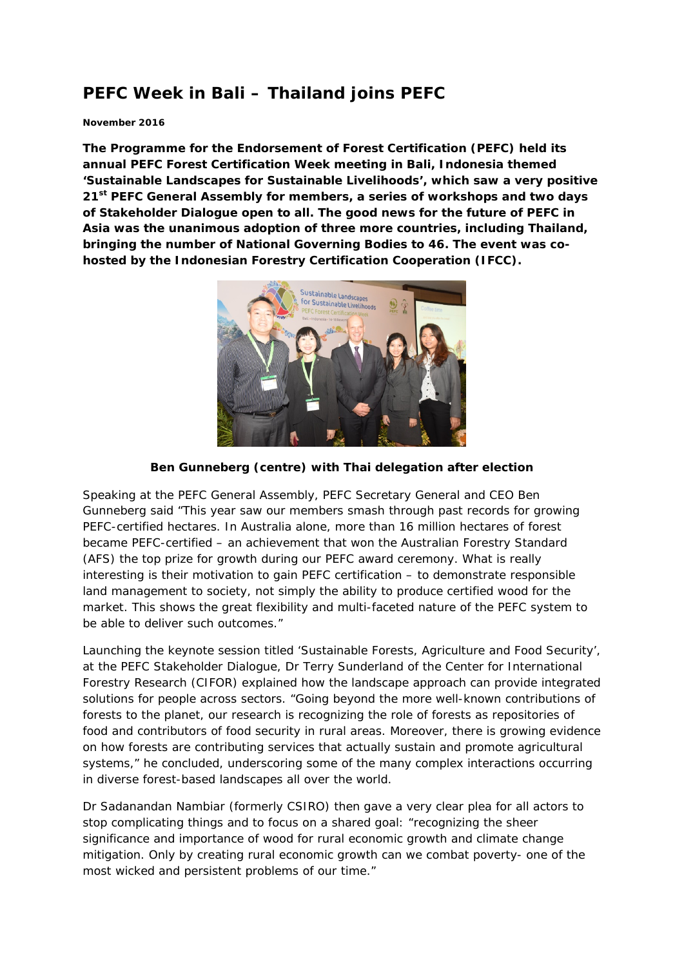# **PEFC Week in Bali – Thailand joins PEFC**

#### **November 2016**

**The Programme for the Endorsement of Forest Certification (PEFC) held its annual PEFC Forest Certification Week meeting in Bali, Indonesia themed 'Sustainable Landscapes for Sustainable Livelihoods', which saw a very positive 21st PEFC General Assembly for members, a series of workshops and two days of Stakeholder Dialogue open to all. The good news for the future of PEFC in Asia was the unanimous adoption of three more countries, including Thailand, bringing the number of National Governing Bodies to 46. The event was cohosted by the Indonesian Forestry Certification Cooperation (IFCC).** 



#### **Ben Gunneberg (centre) with Thai delegation after election**

Speaking at the PEFC General Assembly, PEFC Secretary General and CEO Ben Gunneberg said "This year saw our members smash through past records for growing PEFC-certified hectares. In Australia alone, more than 16 million hectares of forest became PEFC-certified – an achievement that won the Australian Forestry Standard (AFS) the top prize for growth during our PEFC award ceremony. What is really interesting is their motivation to gain PEFC certification – to demonstrate responsible land management to society, not simply the ability to produce certified wood for the market. This shows the great flexibility and multi-faceted nature of the PEFC system to be able to deliver such outcomes."

Launching the keynote session titled 'Sustainable Forests, Agriculture and Food Security', at the PEFC Stakeholder Dialogue, Dr Terry Sunderland of the Center for International Forestry Research (CIFOR) explained how the landscape approach can provide integrated solutions for people across sectors. "Going beyond the more well-known contributions of forests to the planet, our research is recognizing the role of forests as repositories of food and contributors of food security in rural areas. Moreover, there is growing evidence on how forests are contributing services that actually sustain and promote agricultural systems," he concluded, underscoring some of the many complex interactions occurring in diverse forest-based landscapes all over the world.

Dr Sadanandan Nambiar (formerly CSIRO) then gave a very clear plea for all actors to stop complicating things and to focus on a shared goal: "recognizing the sheer significance and importance of wood for rural economic growth and climate change mitigation. Only by creating rural economic growth can we combat poverty- one of the most wicked and persistent problems of our time."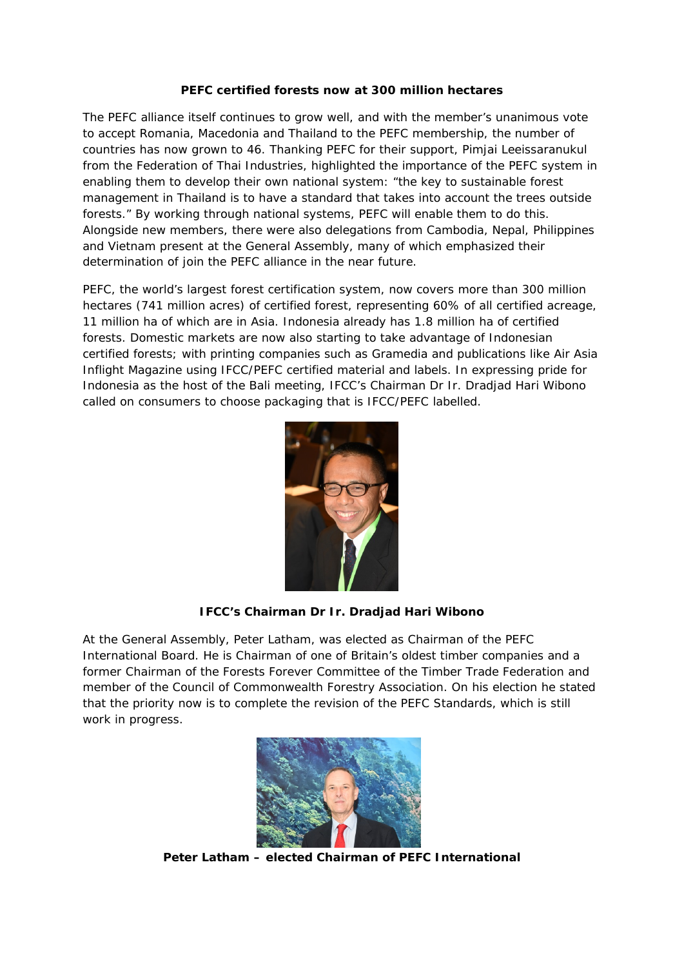## **PEFC certified forests now at 300 million hectares**

The PEFC alliance itself continues to grow well, and with the member's unanimous vote to accept Romania, Macedonia and Thailand to the PEFC membership, the number of countries has now grown to 46. Thanking PEFC for their support, Pimjai Leeissaranukul from the Federation of Thai Industries, highlighted the importance of the PEFC system in enabling them to develop their own national system: *"the key to sustainable forest management in Thailand is to have a standard that takes into account the trees outside forests."* By working through national systems, PEFC will enable them to do this. Alongside new members, there were also delegations from Cambodia, Nepal, Philippines and Vietnam present at the General Assembly, many of which emphasized their determination of join the PEFC alliance in the near future.

PEFC, the world's largest forest certification system, now covers more than 300 million hectares (741 million acres) of certified forest, representing 60% of all certified acreage, 11 million ha of which are in Asia. Indonesia already has 1.8 million ha of certified forests. Domestic markets are now also starting to take advantage of Indonesian certified forests; with printing companies such as Gramedia and publications like Air Asia Inflight Magazine using IFCC/PEFC certified material and labels. In expressing pride for Indonesia as the host of the Bali meeting, IFCC's Chairman Dr Ir. Dradjad Hari Wibono called on consumers to choose packaging that is IFCC/PEFC labelled.



## **IFCC's Chairman Dr Ir. Dradjad Hari Wibono**

At the General Assembly, Peter Latham, was elected as Chairman of the PEFC International Board. He is Chairman of one of Britain's oldest timber companies and a former Chairman of the Forests Forever Committee of the Timber Trade Federation and member of the Council of Commonwealth Forestry Association. On his election he stated that the priority now is to complete the revision of the PEFC Standards, which is still work in progress.



**Peter Latham – elected Chairman of PEFC International**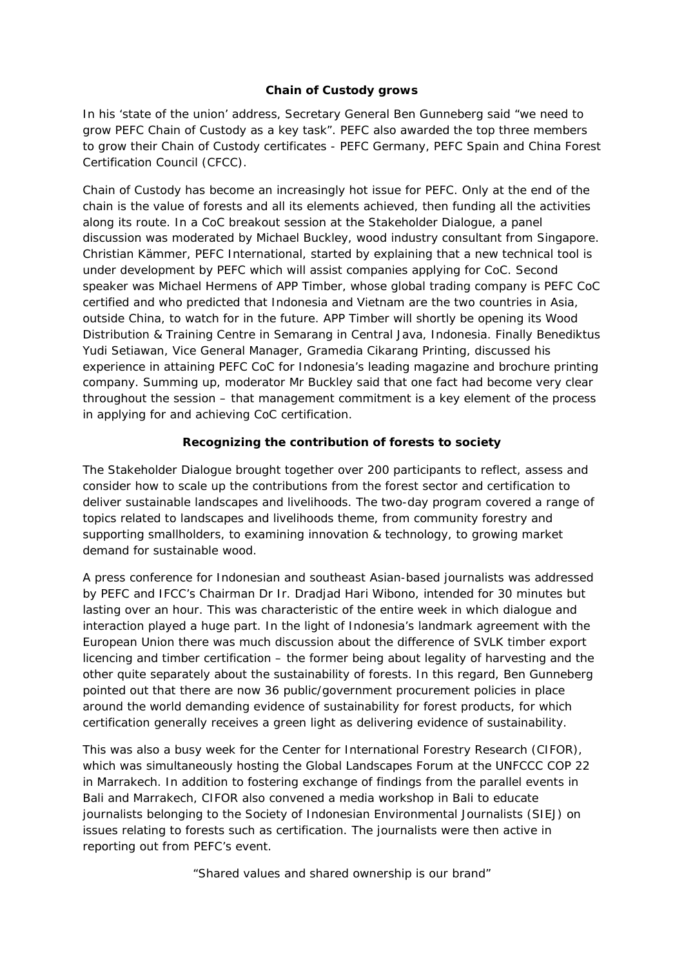## **Chain of Custody grows**

In his 'state of the union' address, Secretary General Ben Gunneberg said "*we need to grow PEFC Chain of Custody as a key task*". PEFC also awarded the top three members to grow their Chain of Custody certificates - PEFC Germany, PEFC Spain and China Forest Certification Council (CFCC).

Chain of Custody has become an increasingly hot issue for PEFC. Only at the end of the chain is the value of forests and all its elements achieved, then funding all the activities along its route. In a CoC breakout session at the Stakeholder Dialogue, a panel discussion was moderated by Michael Buckley, wood industry consultant from Singapore. Christian Kämmer, PEFC International, started by explaining that a new technical tool is under development by PEFC which will assist companies applying for CoC. Second speaker was Michael Hermens of APP Timber, whose global trading company is PEFC CoC certified and who predicted that Indonesia and Vietnam are the two countries in Asia, outside China, to watch for in the future. APP Timber will shortly be opening its Wood Distribution & Training Centre in Semarang in Central Java, Indonesia. Finally Benediktus Yudi Setiawan, Vice General Manager, Gramedia Cikarang Printing, discussed his experience in attaining PEFC CoC for Indonesia's leading magazine and brochure printing company. Summing up, moderator Mr Buckley said that one fact had become very clear throughout the session – that management commitment is a key element of the process in applying for and achieving CoC certification.

## **Recognizing the contribution of forests to society**

The Stakeholder Dialogue brought together over 200 participants to reflect, assess and consider how to scale up the contributions from the forest sector and certification to deliver sustainable landscapes and livelihoods. The two-day program covered a range of topics related to landscapes and livelihoods theme, from community forestry and supporting smallholders, to examining innovation & technology, to growing market demand for sustainable wood.

A press conference for Indonesian and southeast Asian-based journalists was addressed by PEFC and IFCC's Chairman Dr Ir. Dradjad Hari Wibono, intended for 30 minutes but lasting over an hour. This was characteristic of the entire week in which dialogue and interaction played a huge part. In the light of Indonesia's landmark agreement with the European Union there was much discussion about the difference of SVLK timber export licencing and timber certification – the former being about legality of harvesting and the other quite separately about the sustainability of forests. In this regard, Ben Gunneberg pointed out that there are now 36 public/government procurement policies in place around the world demanding evidence of sustainability for forest products, for which certification generally receives a green light as delivering evidence of sustainability.

This was also a busy week for the Center for International Forestry Research (CIFOR), which was simultaneously hosting the Global Landscapes Forum at the UNFCCC COP 22 in Marrakech. In addition to fostering exchange of findings from the parallel events in Bali and Marrakech, CIFOR also convened a media workshop in Bali to educate journalists belonging to the Society of Indonesian Environmental Journalists (SIEJ) on issues relating to forests such as certification. The journalists were then active in reporting out from PEFC's event.

*"Shared values and shared ownership is our brand"*